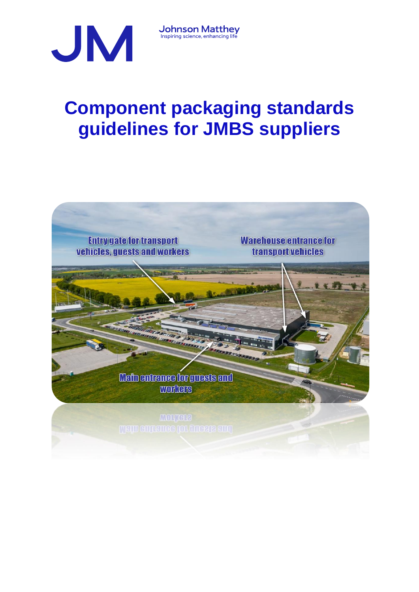

**Component packaging standards guidelines for JMBS suppliers**

**Johnson Matthey**<br>Inspiring science, enhancing life

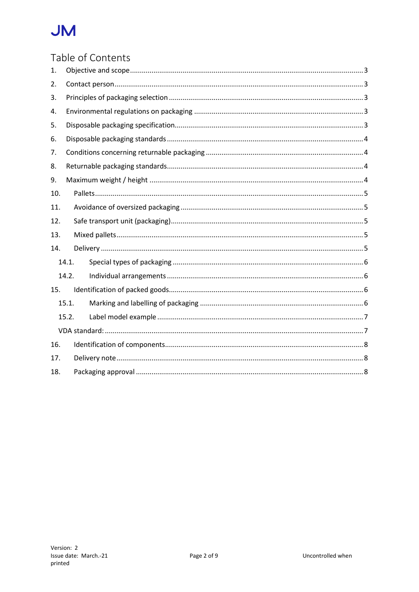# Table of Contents

| 1.  |       |  |  |
|-----|-------|--|--|
| 2.  |       |  |  |
| 3.  |       |  |  |
| 4.  |       |  |  |
| 5.  |       |  |  |
| 6.  |       |  |  |
| 7.  |       |  |  |
| 8.  |       |  |  |
| 9.  |       |  |  |
| 10. |       |  |  |
| 11. |       |  |  |
| 12. |       |  |  |
| 13. |       |  |  |
| 14. |       |  |  |
|     | 14.1. |  |  |
|     | 14.2. |  |  |
| 15. |       |  |  |
|     | 15.1. |  |  |
|     | 15.2. |  |  |
|     |       |  |  |
| 16. |       |  |  |
| 17. |       |  |  |
| 18. |       |  |  |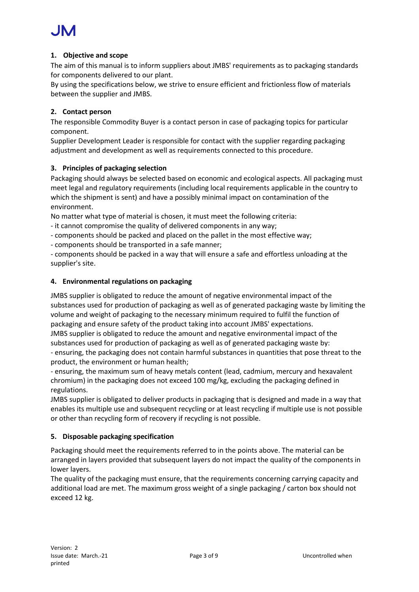# <span id="page-2-0"></span>**1. Objective and scope**

The aim of this manual is to inform suppliers about JMBS' requirements as to packaging standards for components delivered to our plant.

By using the specifications below, we strive to ensure efficient and frictionless flow of materials between the supplier and JMBS.

# <span id="page-2-1"></span>**2. Contact person**

The responsible Commodity Buyer is a contact person in case of packaging topics for particular component.

Supplier Development Leader is responsible for contact with the supplier regarding packaging adjustment and development as well as requirements connected to this procedure.

# <span id="page-2-2"></span>**3. Principles of packaging selection**

Packaging should always be selected based on economic and ecological aspects. All packaging must meet legal and regulatory requirements (including local requirements applicable in the country to which the shipment is sent) and have a possibly minimal impact on contamination of the environment.

No matter what type of material is chosen, it must meet the following criteria:

- it cannot compromise the quality of delivered components in any way;

- components should be packed and placed on the pallet in the most effective way;

- components should be transported in a safe manner;

- components should be packed in a way that will ensure a safe and effortless unloading at the supplier's site.

# <span id="page-2-3"></span>**4. Environmental regulations on packaging**

JMBS supplier is obligated to reduce the amount of negative environmental impact of the substances used for production of packaging as well as of generated packaging waste by limiting the volume and weight of packaging to the necessary minimum required to fulfil the function of packaging and ensure safety of the product taking into account JMBS' expectations. JMBS supplier is obligated to reduce the amount and negative environmental impact of the

substances used for production of packaging as well as of generated packaging waste by: - ensuring, the packaging does not contain harmful substances in quantities that pose threat to the product, the environment or human health;

- ensuring, the maximum sum of heavy metals content (lead, cadmium, mercury and hexavalent chromium) in the packaging does not exceed 100 mg/kg, excluding the packaging defined in regulations.

JMBS supplier is obligated to deliver products in packaging that is designed and made in a way that enables its multiple use and subsequent recycling or at least recycling if multiple use is not possible or other than recycling form of recovery if recycling is not possible.

# <span id="page-2-4"></span>**5. Disposable packaging specification**

Packaging should meet the requirements referred to in the points above. The material can be arranged in layers provided that subsequent layers do not impact the quality of the components in lower layers.

The quality of the packaging must ensure, that the requirements concerning carrying capacity and additional load are met. The maximum gross weight of a single packaging / carton box should not exceed 12 kg.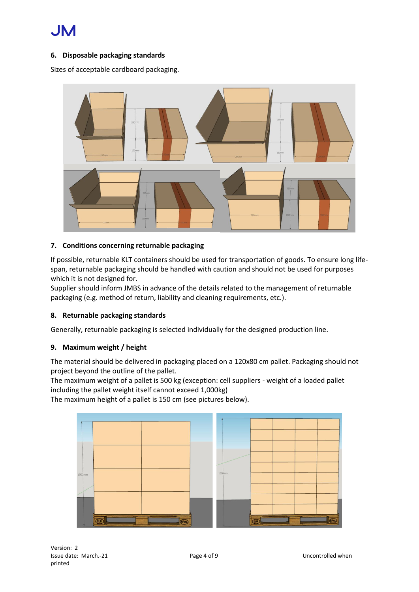# <span id="page-3-0"></span>**6. Disposable packaging standards**

Sizes of acceptable cardboard packaging.



#### <span id="page-3-1"></span>**7. Conditions concerning returnable packaging**

If possible, returnable KLT containers should be used for transportation of goods. To ensure long lifespan, returnable packaging should be handled with caution and should not be used for purposes which it is not designed for.

Supplier should inform JMBS in advance of the details related to the management of returnable packaging (e.g. method of return, liability and cleaning requirements, etc.).

#### <span id="page-3-2"></span>**8. Returnable packaging standards**

<span id="page-3-3"></span>Generally, returnable packaging is selected individually for the designed production line.

#### **9. Maximum weight / height**

The material should be delivered in packaging placed on a 120x80 cm pallet. Packaging should not project beyond the outline of the pallet.

The maximum weight of a pallet is 500 kg (exception: cell suppliers - weight of a loaded pallet including the pallet weight itself cannot exceed 1,000kg)

The maximum height of a pallet is 150 cm (see pictures below).

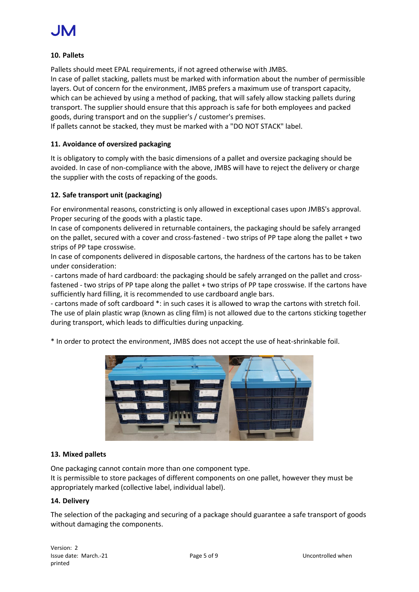#### <span id="page-4-0"></span>**10. Pallets**

Pallets should meet EPAL requirements, if not agreed otherwise with JMBS. In case of pallet stacking, pallets must be marked with information about the number of permissible layers. Out of concern for the environment, JMBS prefers a maximum use of transport capacity, which can be achieved by using a method of packing, that will safely allow stacking pallets during transport. The supplier should ensure that this approach is safe for both employees and packed goods, during transport and on the supplier's / customer's premises.

<span id="page-4-1"></span>If pallets cannot be stacked, they must be marked with a "DO NOT STACK" label.

#### **11. Avoidance of oversized packaging**

It is obligatory to comply with the basic dimensions of a pallet and oversize packaging should be avoided. In case of non-compliance with the above, JMBS will have to reject the delivery or charge the supplier with the costs of repacking of the goods.

#### <span id="page-4-2"></span>**12. Safe transport unit (packaging)**

For environmental reasons, constricting is only allowed in exceptional cases upon JMBS's approval. Proper securing of the goods with a plastic tape.

In case of components delivered in returnable containers, the packaging should be safely arranged on the pallet, secured with a cover and cross-fastened - two strips of PP tape along the pallet + two strips of PP tape crosswise.

In case of components delivered in disposable cartons, the hardness of the cartons has to be taken under consideration:

- cartons made of hard cardboard: the packaging should be safely arranged on the pallet and crossfastened - two strips of PP tape along the pallet + two strips of PP tape crosswise. If the cartons have sufficiently hard filling, it is recommended to use cardboard angle bars.

- cartons made of soft cardboard \*: in such cases it is allowed to wrap the cartons with stretch foil. The use of plain plastic wrap (known as cling film) is not allowed due to the cartons sticking together during transport, which leads to difficulties during unpacking.

\* In order to protect the environment, JMBS does not accept the use of heat-shrinkable foil.



#### <span id="page-4-3"></span>**13. Mixed pallets**

One packaging cannot contain more than one component type.

It is permissible to store packages of different components on one pallet, however they must be appropriately marked (collective label, individual label).

#### <span id="page-4-4"></span>**14. Delivery**

The selection of the packaging and securing of a package should guarantee a safe transport of goods without damaging the components.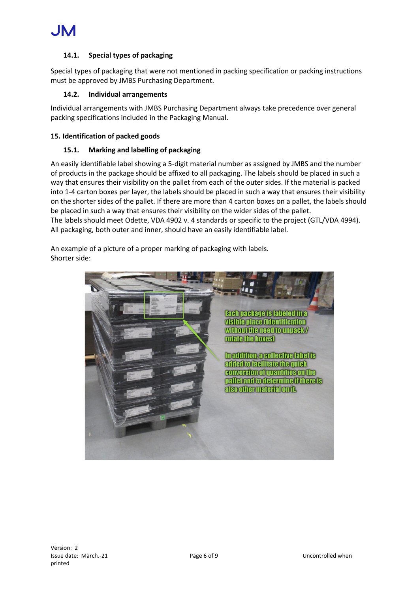### <span id="page-5-0"></span>**14.1. Special types of packaging**

Special types of packaging that were not mentioned in packing specification or packing instructions must be approved by JMBS Purchasing Department.

#### **14.2. Individual arrangements**

<span id="page-5-1"></span>Individual arrangements with JMBS Purchasing Department always take precedence over general packing specifications included in the Packaging Manual.

#### <span id="page-5-3"></span><span id="page-5-2"></span>**15. Identification of packed goods**

#### **15.1. Marking and labelling of packaging**

An easily identifiable label showing a 5-digit material number as assigned by JMBS and the number of products in the package should be affixed to all packaging. The labels should be placed in such a way that ensures their visibility on the pallet from each of the outer sides. If the material is packed into 1-4 carton boxes per layer, the labels should be placed in such a way that ensures their visibility on the shorter sides of the pallet. If there are more than 4 carton boxes on a pallet, the labels should be placed in such a way that ensures their visibility on the wider sides of the pallet. The labels should meet Odette, VDA 4902 v. 4 standards or specific to the project (GTL/VDA 4994). All packaging, both outer and inner, should have an easily identifiable label.

An example of a picture of a proper marking of packaging with labels. Shorter side:

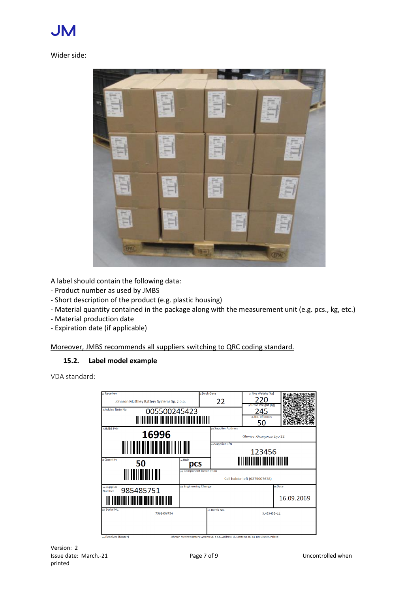#### Wider side:



A label should contain the following data:

- Product number as used by JMBS
- Short description of the product (e.g. plastic housing)
- Material quantity contained in the package along with the measurement unit (e.g. pcs., kg, etc.)
- Material production date
- Expiration date (if applicable)

<span id="page-6-0"></span>Moreover, JMBS recommends all suppliers switching to QRC coding standard.

# **15.2. Label model example**

<span id="page-6-1"></span>VDA standard:

| n Receiver                                                        |                                  | <b>» Dock Gate</b> |                                                             | (4) Net Weight [kg]                                                                           |            |  |  |
|-------------------------------------------------------------------|----------------------------------|--------------------|-------------------------------------------------------------|-----------------------------------------------------------------------------------------------|------------|--|--|
| Johnson Matthey Battery Systems Sp. z o.o.                        |                                  |                    | 22                                                          | (s) Gross Weight [kg]                                                                         |            |  |  |
| » Advice Note No.<br>005500245423                                 |                                  |                    |                                                             | 245                                                                                           |            |  |  |
|                                                                   |                                  |                    | in No. of boxes<br>50                                       |                                                                                               |            |  |  |
| (7) JMBS P/N<br>16996<br><u> Ali io alai a ila illai i la all</u> |                                  |                    | <sub>da</sub> Supplier Address<br>Gliwice, Grzegorza 2go 22 |                                                                                               |            |  |  |
|                                                                   |                                  |                    | as Supplier P/N<br>123456                                   |                                                                                               |            |  |  |
| <sub>(8)</sub> Quantity<br>50                                     | o Unit<br>pcs                    |                    |                                                             | <u> Ali in alama kata masa shi</u>                                                            |            |  |  |
| <u> III IIIIIIIIII III</u>                                        | do Component Description         |                    | Cell holder left (0275007678)                               |                                                                                               |            |  |  |
| (iii) Supplier<br>985485751<br>Number                             | <sub>pa</sub> Engineering Change |                    |                                                             |                                                                                               | un Date    |  |  |
|                                                                   |                                  |                    |                                                             |                                                                                               | 16.09.2069 |  |  |
| na Serial No.<br>7568456754                                       |                                  |                    | (17) Batch No.                                              | 3,45345E+11                                                                                   |            |  |  |
| an Receiver (footer)                                              |                                  |                    |                                                             | Johnson Matthey Battery Systems Sp. z o.o., Address: ul. Einsteina 36, 44-109 Gliwice, Poland |            |  |  |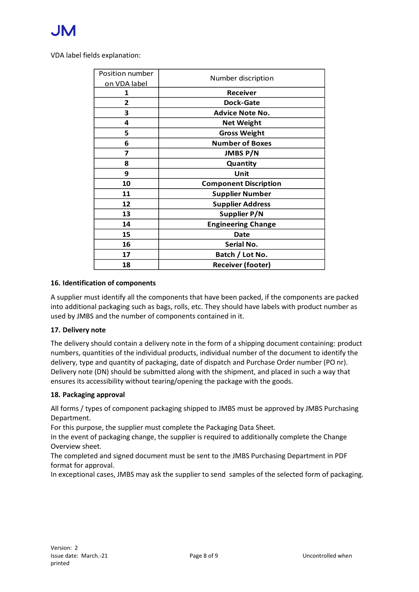VDA label fields explanation:

| Position number | Number discription           |  |  |
|-----------------|------------------------------|--|--|
| on VDA label    |                              |  |  |
| 1               | <b>Receiver</b>              |  |  |
| $\overline{2}$  | <b>Dock-Gate</b>             |  |  |
| 3               | <b>Advice Note No.</b>       |  |  |
| 4               | <b>Net Weight</b>            |  |  |
| 5               | <b>Gross Weight</b>          |  |  |
| 6               | <b>Number of Boxes</b>       |  |  |
| 7               | <b>JMBS P/N</b>              |  |  |
| 8               | Quantity                     |  |  |
| 9               | Unit                         |  |  |
| 10              | <b>Component Discription</b> |  |  |
| 11              | <b>Supplier Number</b>       |  |  |
| 12              | <b>Supplier Address</b>      |  |  |
| 13              | Supplier P/N                 |  |  |
| 14              | <b>Engineering Change</b>    |  |  |
| 15              | Date                         |  |  |
| 16              | Serial No.                   |  |  |
| 17              | Batch / Lot No.              |  |  |
| 18              | <b>Receiver (footer)</b>     |  |  |

#### <span id="page-7-0"></span>**16. Identification of components**

A supplier must identify all the components that have been packed, if the components are packed into additional packaging such as bags, rolls, etc. They should have labels with product number as used by JMBS and the number of components contained in it.

#### <span id="page-7-1"></span>**17. Delivery note**

The delivery should contain a delivery note in the form of a shipping document containing: product numbers, quantities of the individual products, individual number of the document to identify the delivery, type and quantity of packaging, date of dispatch and Purchase Order number (PO nr). Delivery note (DN) should be submitted along with the shipment, and placed in such a way that ensures its accessibility without tearing/opening the package with the goods.

#### <span id="page-7-2"></span>**18. Packaging approval**

All forms / types of component packaging shipped to JMBS must be approved by JMBS Purchasing Department.

For this purpose, the supplier must complete the Packaging Data Sheet.

In the event of packaging change, the supplier is required to additionally complete the Change Overview sheet.

The completed and signed document must be sent to the JMBS Purchasing Department in PDF format for approval.

In exceptional cases, JMBS may ask the supplier to send samples of the selected form of packaging.